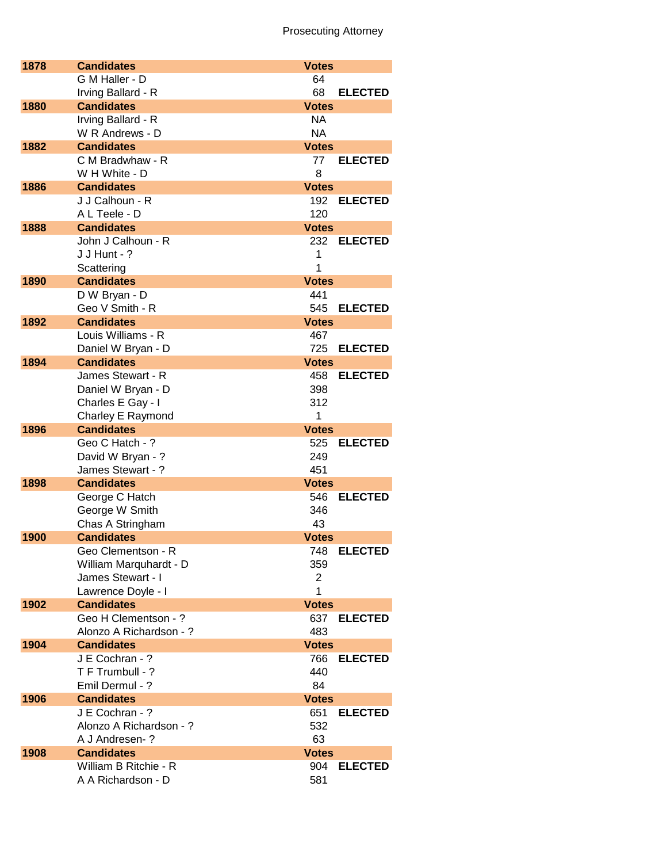| 1878 | <b>Candidates</b>                     | <b>Votes</b>       |                |
|------|---------------------------------------|--------------------|----------------|
|      | G M Haller - D                        | 64                 |                |
|      | Irving Ballard - R                    | 68                 | <b>ELECTED</b> |
| 1880 | <b>Candidates</b>                     | <b>Votes</b>       |                |
|      | Irving Ballard - R                    | NA                 |                |
|      | W R Andrews - D                       | <b>NA</b>          |                |
| 1882 | <b>Candidates</b>                     | <b>Votes</b>       |                |
|      | C M Bradwhaw - R                      | 77                 | <b>ELECTED</b> |
|      | W H White - D                         | 8                  |                |
| 1886 | <b>Candidates</b>                     | <b>Votes</b>       |                |
|      | J J Calhoun - R                       |                    | 192 ELECTED    |
|      | A L Teele - D                         | 120                |                |
| 1888 | <b>Candidates</b>                     | <b>Votes</b>       |                |
|      | John J Calhoun - R<br>J J Hunt - ?    | 232<br>1           | <b>ELECTED</b> |
|      | Scattering                            | 1                  |                |
| 1890 | <b>Candidates</b>                     | <b>Votes</b>       |                |
|      | D W Bryan - D                         | 441                |                |
|      | Geo V Smith - R                       | 545                | <b>ELECTED</b> |
| 1892 | <b>Candidates</b>                     | <b>Votes</b>       |                |
|      | Louis Williams - R                    | 467                |                |
|      | Daniel W Bryan - D                    | 725                | <b>ELECTED</b> |
| 1894 | <b>Candidates</b>                     | <b>Votes</b>       |                |
|      | James Stewart - R                     | 458                | <b>ELECTED</b> |
|      | Daniel W Bryan - D                    | 398                |                |
|      | Charles E Gay - I                     | 312                |                |
|      | Charley E Raymond                     | 1                  |                |
| 1896 | <b>Candidates</b>                     | <b>Votes</b>       |                |
|      | Geo C Hatch - ?                       | 525                | <b>ELECTED</b> |
|      | David W Bryan - ?                     | 249                |                |
|      | James Stewart - ?                     | 451                |                |
| 1898 | <b>Candidates</b>                     | <b>Votes</b>       |                |
|      | George C Hatch                        | 546                | <b>ELECTED</b> |
|      | George W Smith                        | 346                |                |
| 1900 | Chas A Stringham<br><b>Candidates</b> | 43<br><b>Votes</b> |                |
|      | Geo Clementson - R                    | 748                | <b>ELECTED</b> |
|      | William Marquhardt - D                | 359                |                |
|      | James Stewart - I                     | 2                  |                |
|      | Lawrence Doyle - I                    | 1                  |                |
| 1902 | <b>Candidates</b>                     | <b>Votes</b>       |                |
|      | Geo H Clementson - ?                  | 637                | <b>ELECTED</b> |
|      | Alonzo A Richardson - ?               | 483                |                |
| 1904 | <b>Candidates</b>                     | <b>Votes</b>       |                |
|      | J E Cochran - ?                       | 766                | <b>ELECTED</b> |
|      | T F Trumbull - ?                      | 440                |                |
|      | Emil Dermul - ?                       | 84                 |                |
| 1906 | <b>Candidates</b>                     | <b>Votes</b>       |                |
|      | J E Cochran - ?                       | 651                | <b>ELECTED</b> |
|      | Alonzo A Richardson - ?               | 532                |                |
|      | A J Andresen-?                        | 63                 |                |
| 1908 | <b>Candidates</b>                     | <b>Votes</b>       |                |
|      | William B Ritchie - R                 | 904                | <b>ELECTED</b> |
|      | A A Richardson - D                    | 581                |                |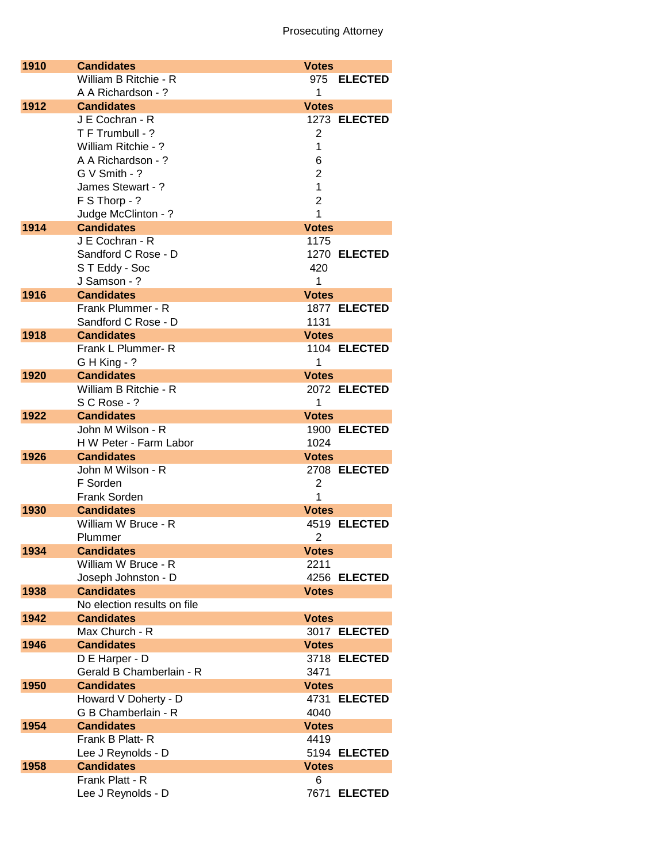| 1910 | <b>Candidates</b>           | <b>Votes</b>   |
|------|-----------------------------|----------------|
|      | William B Ritchie - R       | 975 ELECTED    |
|      | A A Richardson - ?          | 1              |
| 1912 | <b>Candidates</b>           | <b>Votes</b>   |
|      | J E Cochran - R             | 1273 ELECTED   |
|      | T F Trumbull - ?            | 2              |
|      | William Ritchie - ?         | 1              |
|      | A A Richardson - ?          | 6              |
|      |                             |                |
|      | G V Smith - ?               | $\overline{2}$ |
|      | James Stewart - ?           | 1              |
|      | F S Thorp - ?               | $\overline{2}$ |
|      | Judge McClinton - ?         | 1              |
| 1914 | <b>Candidates</b>           | <b>Votes</b>   |
|      | J E Cochran - R             | 1175           |
|      | Sandford C Rose - D         | 1270 ELECTED   |
|      | ST Eddy - Soc               | 420            |
|      | J Samson - ?                | 1              |
| 1916 | <b>Candidates</b>           | <b>Votes</b>   |
|      | Frank Plummer - R           |                |
|      |                             | 1877 ELECTED   |
|      | Sandford C Rose - D         | 1131           |
| 1918 | <b>Candidates</b>           | <b>Votes</b>   |
|      | Frank L Plummer-R           | 1104 ELECTED   |
|      | G H King - ?                | 1              |
| 1920 | <b>Candidates</b>           | <b>Votes</b>   |
|      | William B Ritchie - R       | 2072 ELECTED   |
|      | S C Rose - ?                | 1              |
| 1922 | <b>Candidates</b>           | <b>Votes</b>   |
|      | John M Wilson - R           | 1900 ELECTED   |
|      | H W Peter - Farm Labor      | 1024           |
| 1926 | <b>Candidates</b>           |                |
|      |                             | <b>Votes</b>   |
|      | John M Wilson - R           | 2708 ELECTED   |
|      | F Sorden                    | 2              |
|      | <b>Frank Sorden</b>         | 1              |
| 1930 | <b>Candidates</b>           | <b>Votes</b>   |
|      | William W Bruce - R         | 4519 ELECTED   |
|      | Plummer                     | $\overline{2}$ |
| 1934 | <b>Candidates</b>           | <b>Votes</b>   |
|      | William W Bruce - R         | 2211           |
|      | Joseph Johnston - D         | 4256 ELECTED   |
| 1938 | <b>Candidates</b>           | <b>Votes</b>   |
|      | No election results on file |                |
| 1942 | <b>Candidates</b>           | <b>Votes</b>   |
|      | Max Church - R              | 3017 ELECTED   |
|      | <b>Candidates</b>           |                |
| 1946 |                             | <b>Votes</b>   |
|      | D E Harper - D              | 3718 ELECTED   |
|      | Gerald B Chamberlain - R    | 3471           |
| 1950 | <b>Candidates</b>           | <b>Votes</b>   |
|      | Howard V Doherty - D        | 4731 ELECTED   |
|      | G B Chamberlain - R         | 4040           |
| 1954 | <b>Candidates</b>           | <b>Votes</b>   |
|      | Frank B Platt-R             | 4419           |
|      | Lee J Reynolds - D          | 5194 ELECTED   |
| 1958 | <b>Candidates</b>           | <b>Votes</b>   |
|      | Frank Platt - R             | 6              |
|      |                             |                |
|      | Lee J Reynolds - D          | 7671 ELECTED   |